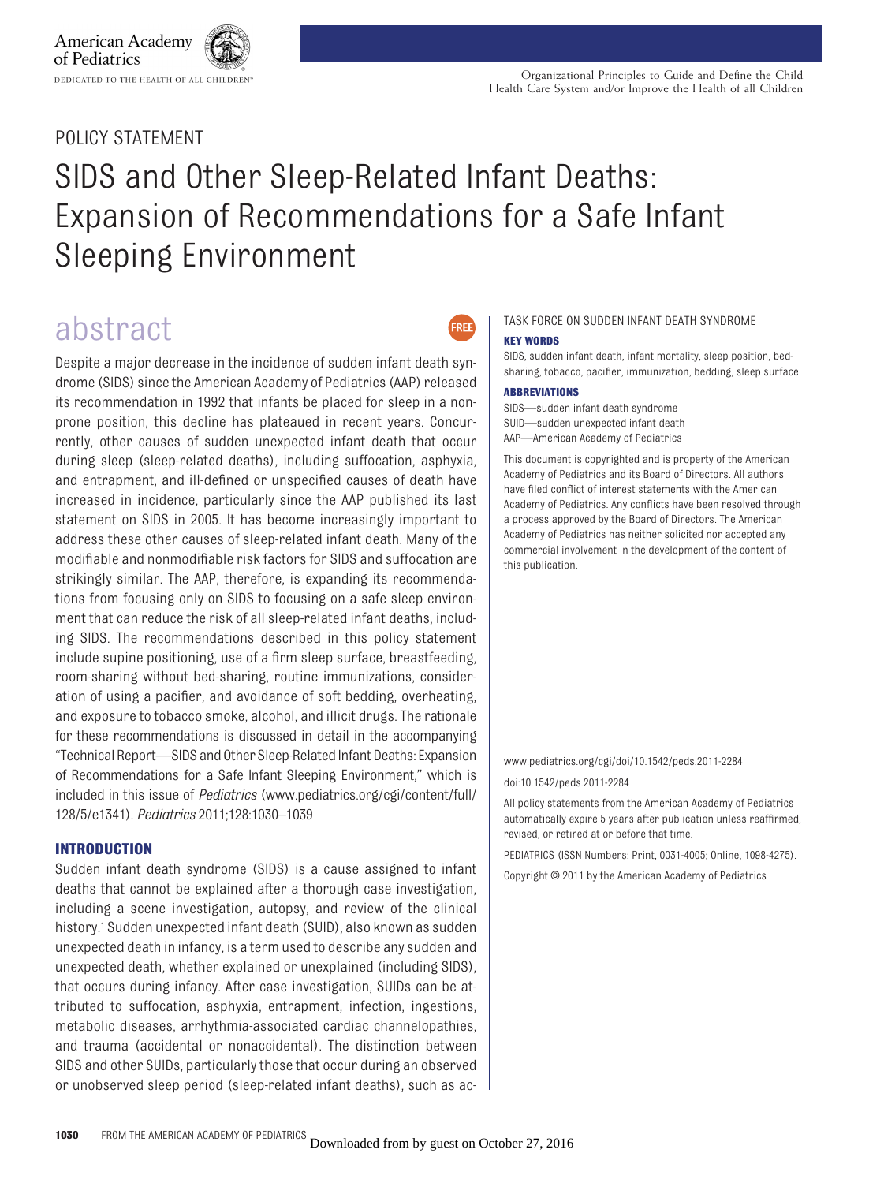#### POLICY STATEMENT

DEDICATED TO THE HEALTH OF ALL CHILDREN

American Academy of Pediatrics

## SIDS and Other Sleep-Related Infant Deaths: Expansion of Recommendations for a Safe Infant Sleeping Environment

### abstract

Despite a major decrease in the incidence of sudden infant death syndrome (SIDS) since the American Academy of Pediatrics (AAP) released its recommendation in 1992 that infants be placed for sleep in a nonprone position, this decline has plateaued in recent years. Concurrently, other causes of sudden unexpected infant death that occur during sleep (sleep-related deaths), including suffocation, asphyxia, and entrapment, and ill-defined or unspecified causes of death have increased in incidence, particularly since the AAP published its last statement on SIDS in 2005. It has become increasingly important to address these other causes of sleep-related infant death. Many of the modifiable and nonmodifiable risk factors for SIDS and suffocation are strikingly similar. The AAP, therefore, is expanding its recommendations from focusing only on SIDS to focusing on a safe sleep environment that can reduce the risk of all sleep-related infant deaths, including SIDS. The recommendations described in this policy statement include supine positioning, use of a firm sleep surface, breastfeeding, room-sharing without bed-sharing, routine immunizations, consideration of using a pacifier, and avoidance of soft bedding, overheating, and exposure to tobacco smoke, alcohol, and illicit drugs. The rationale for these recommendations is discussed in detail in the accompanying "Technical Report—SIDS and Other Sleep-Related Infant Deaths: Expansion of Recommendations for a Safe Infant Sleeping Environment," which is included in this issue of *Pediatrics* (www.pediatrics.org/cgi/content/full/ 128/5/e1341). *Pediatrics* 2011;128:1030–1039

#### **INTRODUCTION**

Sudden infant death syndrome (SIDS) is a cause assigned to infant deaths that cannot be explained after a thorough case investigation, including a scene investigation, autopsy, and review of the clinical history[.1](#page-6-0) Sudden unexpected infant death (SUID), also known as sudden unexpected death in infancy, is a term used to describe any sudden and unexpected death, whether explained or unexplained (including SIDS), that occurs during infancy. After case investigation, SUIDs can be attributed to suffocation, asphyxia, entrapment, infection, ingestions, metabolic diseases, arrhythmia-associated cardiac channelopathies, and trauma (accidental or nonaccidental). The distinction between SIDS and other SUIDs, particularly those that occur during an observed or unobserved sleep period (sleep-related infant deaths), such as ac-

#### TASK FORCE ON SUDDEN INFANT DEATH SYNDROME

#### **KEY WORDS**

FREE

SIDS, sudden infant death, infant mortality, sleep position, bedsharing, tobacco, pacifier, immunization, bedding, sleep surface

#### **ABBREVIATIONS**

SIDS—sudden infant death syndrome SUID—sudden unexpected infant death AAP—American Academy of Pediatrics

This document is copyrighted and is property of the American Academy of Pediatrics and its Board of Directors. All authors have filed conflict of interest statements with the American Academy of Pediatrics. Any conflicts have been resolved through a process approved by the Board of Directors. The American Academy of Pediatrics has neither solicited nor accepted any commercial involvement in the development of the content of this publication.

www.pediatrics.org/cgi/doi/10.1542/peds.2011-2284

doi:10.1542/peds.2011-2284

All policy statements from the American Academy of Pediatrics automatically expire 5 years after publication unless reaffirmed, revised, or retired at or before that time.

PEDIATRICS (ISSN Numbers: Print, 0031-4005; Online, 1098-4275).

Copyright © 2011 by the American Academy of Pediatrics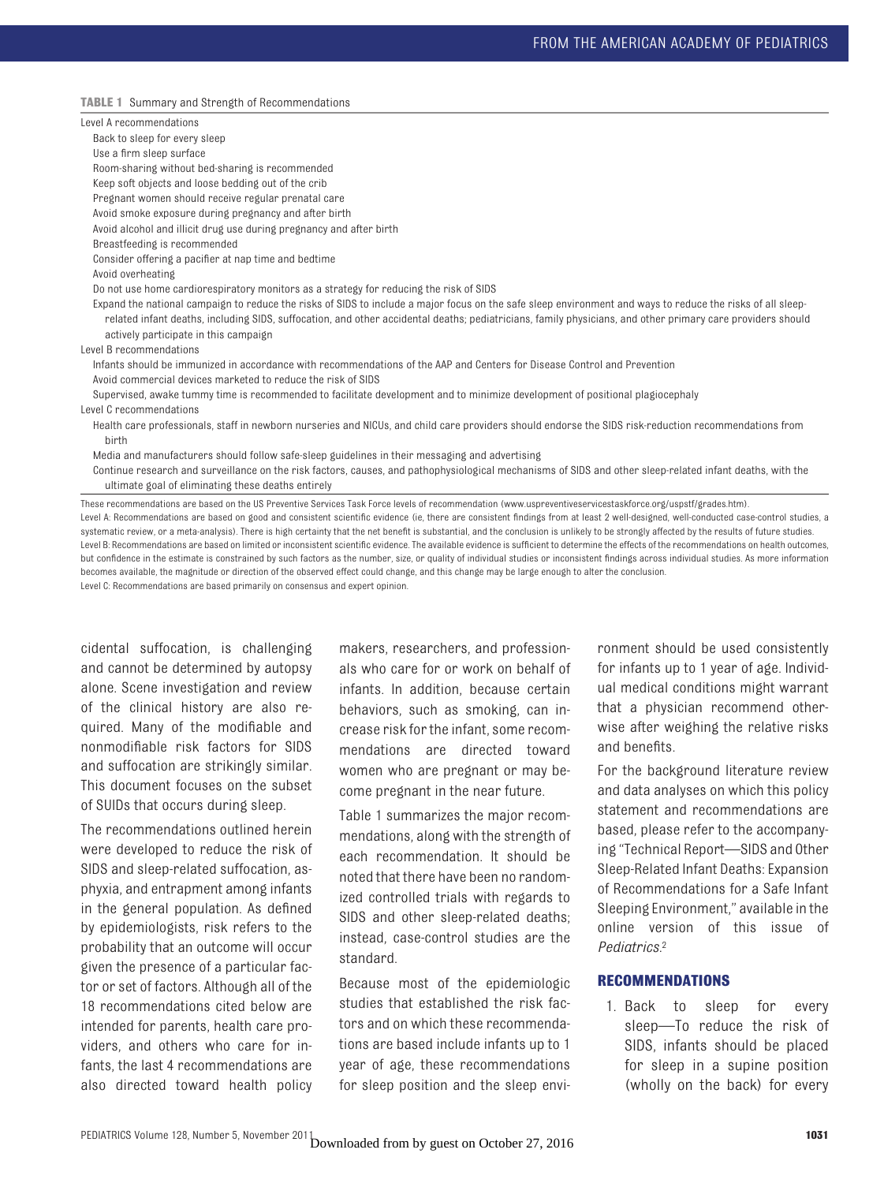#### <span id="page-1-0"></span>**TABLE 1** Summary and Strength of Recommendations

| Level A recommendations                                                                                                                                                                                                                                                                                                                                           |
|-------------------------------------------------------------------------------------------------------------------------------------------------------------------------------------------------------------------------------------------------------------------------------------------------------------------------------------------------------------------|
| Back to sleep for every sleep                                                                                                                                                                                                                                                                                                                                     |
| Use a firm sleep surface                                                                                                                                                                                                                                                                                                                                          |
| Room-sharing without bed-sharing is recommended                                                                                                                                                                                                                                                                                                                   |
| Keep soft objects and loose bedding out of the crib                                                                                                                                                                                                                                                                                                               |
| Pregnant women should receive regular prenatal care                                                                                                                                                                                                                                                                                                               |
| Avoid smoke exposure during pregnancy and after birth                                                                                                                                                                                                                                                                                                             |
| Avoid alcohol and illicit drug use during pregnancy and after birth                                                                                                                                                                                                                                                                                               |
| Breastfeeding is recommended                                                                                                                                                                                                                                                                                                                                      |
| Consider offering a pacifier at nap time and bedtime                                                                                                                                                                                                                                                                                                              |
| Avoid overheating                                                                                                                                                                                                                                                                                                                                                 |
| Do not use home cardiorespiratory monitors as a strategy for reducing the risk of SIDS                                                                                                                                                                                                                                                                            |
| Expand the national campaign to reduce the risks of SIDS to include a major focus on the safe sleep environment and ways to reduce the risks of all sleep-<br>related infant deaths, including SIDS, suffocation, and other accidental deaths; pediatricians, family physicians, and other primary care providers should<br>actively participate in this campaign |
| Level B recommendations                                                                                                                                                                                                                                                                                                                                           |
| Infants should be immunized in accordance with recommendations of the AAP and Centers for Disease Control and Prevention<br>Avoid commercial devices marketed to reduce the risk of SIDS                                                                                                                                                                          |
| Supervised, awake tummy time is recommended to facilitate development and to minimize development of positional plagiocephaly                                                                                                                                                                                                                                     |
| Level C recommendations                                                                                                                                                                                                                                                                                                                                           |
| Health care professionals, staff in newborn nurseries and NICUs, and child care providers should endorse the SIDS risk-reduction recommendations from<br>birth                                                                                                                                                                                                    |
| Media and manufacturers should follow safe-sleep guidelines in their messaging and advertising                                                                                                                                                                                                                                                                    |
| Continue research and surveillance on the risk factors, causes, and pathophysiological mechanisms of SIDS and other sleep-related infant deaths, with the<br>ultimate goal of eliminating these deaths entirely                                                                                                                                                   |
| These recommendations are based on the US Preventive Services Task Force levels of recommendation (www.uspreventiveservicestaskforce.org/uspstf/grades.htm).                                                                                                                                                                                                      |
| Level A: Recommendations are based on good and consistent scientific evidence (ie, there are consistent findings from at least 2 well-designed, well-conducted case-control studies, a                                                                                                                                                                            |

systematic review, or a meta-analysis). There is high certainty that the net benefit is substantial, and the conclusion is unlikely to be strongly affected by the results of future studies. Level B: Recommendations are based on limited or inconsistent scientific evidence. The available evidence is sufficient to determine the effects of the recommendations on health outcomes, but confidence in the estimate is constrained by such factors as the number, size, or quality of individual studies or inconsistent findings across individual studies. As more information becomes available, the magnitude or direction of the observed effect could change, and this change may be large enough to alter the conclusion.

Level C: Recommendations are based primarily on consensus and expert opinion.

cidental suffocation, is challenging and cannot be determined by autopsy alone. Scene investigation and review of the clinical history are also required. Many of the modifiable and nonmodifiable risk factors for SIDS and suffocation are strikingly similar. This document focuses on the subset of SUIDs that occurs during sleep.

The recommendations outlined herein were developed to reduce the risk of SIDS and sleep-related suffocation, asphyxia, and entrapment among infants in the general population. As defined by epidemiologists, risk refers to the probability that an outcome will occur given the presence of a particular factor or set of factors. Although all of the 18 recommendations cited below are intended for parents, health care providers, and others who care for infants, the last 4 recommendations are also directed toward health policy

makers, researchers, and professionals who care for or work on behalf of infants. In addition, because certain behaviors, such as smoking, can increase risk for the infant, some recommendations are directed toward women who are pregnant or may become pregnant in the near future.

[Table 1](#page-1-0) summarizes the major recommendations, along with the strength of each recommendation. It should be noted that there have been no randomized controlled trials with regards to SIDS and other sleep-related deaths; instead, case-control studies are the standard.

Because most of the epidemiologic studies that established the risk factors and on which these recommendations are based include infants up to 1 year of age, these recommendations for sleep position and the sleep envi-

ronment should be used consistently for infants up to 1 year of age. Individual medical conditions might warrant that a physician recommend otherwise after weighing the relative risks and benefits.

For the background literature review and data analyses on which this policy statement and recommendations are based, please refer to the accompanying "Technical Report—SIDS and Other Sleep-Related Infant Deaths: Expansion of Recommendations for a Safe Infant Sleeping Environment," available in the online version of this issue of *Pediatrics*. [2](#page-6-1)

#### **RECOMMENDATIONS**

1. Back to sleep for every sleep—To reduce the risk of SIDS, infants should be placed for sleep in a supine position (wholly on the back) for every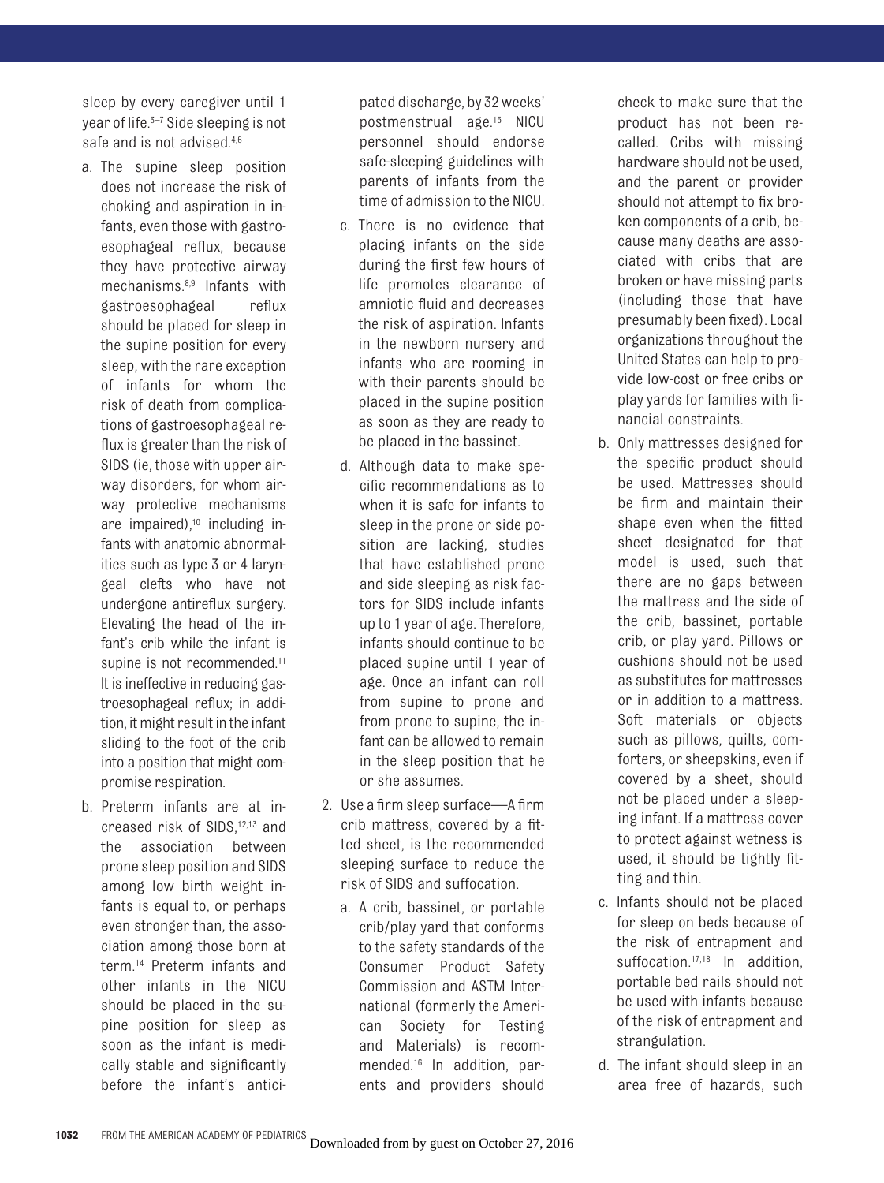sleep by every caregiver until 1 year of life[.3](#page-6-2)[–7](#page-6-3) Side sleeping is not safe and is not advised.<sup>4[,6](#page-6-5)</sup>

- a. The supine sleep position does not increase the risk of choking and aspiration in infants, even those with gastroesophageal reflux, because they have protective airway mechanisms[.8](#page-6-6)[,9](#page-7-0) Infants with gastroesophageal reflux should be placed for sleep in the supine position for every sleep, with the rare exception of infants for whom the risk of death from complications of gastroesophageal reflux is greater than the risk of SIDS (ie, those with upper airway disorders, for whom airway protective mechanisms are impaired), $10$  including infants with anatomic abnormalities such as type 3 or 4 laryngeal clefts who have not undergone antireflux surgery. Elevating the head of the infant's crib while the infant is supine is not recommended.<sup>11</sup> It is ineffective in reducing gastroesophageal reflux; in addition, it might result in the infant sliding to the foot of the crib into a position that might compromise respiration.
- b. Preterm infants are at increased risk of SIDS[,12](#page-7-3)[,13](#page-7-4) and the association between prone sleep position and SIDS among low birth weight infants is equal to, or perhaps even stronger than, the association among those born at term[.14](#page-7-5) Preterm infants and other infants in the NICU should be placed in the supine position for sleep as soon as the infant is medically stable and significantly before the infant's antici-

pated discharge, by 32 weeks' postmenstrual age[.15](#page-7-6) NICU personnel should endorse safe-sleeping guidelines with parents of infants from the time of admission to the NICU.

- c. There is no evidence that placing infants on the side during the first few hours of life promotes clearance of amniotic fluid and decreases the risk of aspiration. Infants in the newborn nursery and infants who are rooming in with their parents should be placed in the supine position as soon as they are ready to be placed in the bassinet.
- d. Although data to make specific recommendations as to when it is safe for infants to sleep in the prone or side position are lacking, studies that have established prone and side sleeping as risk factors for SIDS include infants up to 1 year of age. Therefore, infants should continue to be placed supine until 1 year of age. Once an infant can roll from supine to prone and from prone to supine, the infant can be allowed to remain in the sleep position that he or she assumes.
- 2. Use a firm sleep surface—A firm crib mattress, covered by a fitted sheet, is the recommended sleeping surface to reduce the risk of SIDS and suffocation.
	- a. A crib, bassinet, or portable crib/play yard that conforms to the safety standards of the Consumer Product Safety Commission and ASTM International (formerly the American Society for Testing and Materials) is recommended[.16](#page-7-7) In addition, parents and providers should

check to make sure that the product has not been recalled. Cribs with missing hardware should not be used, and the parent or provider should not attempt to fix broken components of a crib, because many deaths are associated with cribs that are broken or have missing parts (including those that have presumably been fixed). Local organizations throughout the United States can help to provide low-cost or free cribs or play yards for families with financial constraints.

- b. Only mattresses designed for the specific product should be used. Mattresses should be firm and maintain their shape even when the fitted sheet designated for that model is used, such that there are no gaps between the mattress and the side of the crib, bassinet, portable crib, or play yard. Pillows or cushions should not be used as substitutes for mattresses or in addition to a mattress. Soft materials or objects such as pillows, quilts, comforters, or sheepskins, even if covered by a sheet, should not be placed under a sleeping infant. If a mattress cover to protect against wetness is used, it should be tightly fitting and thin.
- c. Infants should not be placed for sleep on beds because of the risk of entrapment and suffocation.<sup>17,[18](#page-7-9)</sup> In addition, portable bed rails should not be used with infants because of the risk of entrapment and strangulation.
- d. The infant should sleep in an area free of hazards, such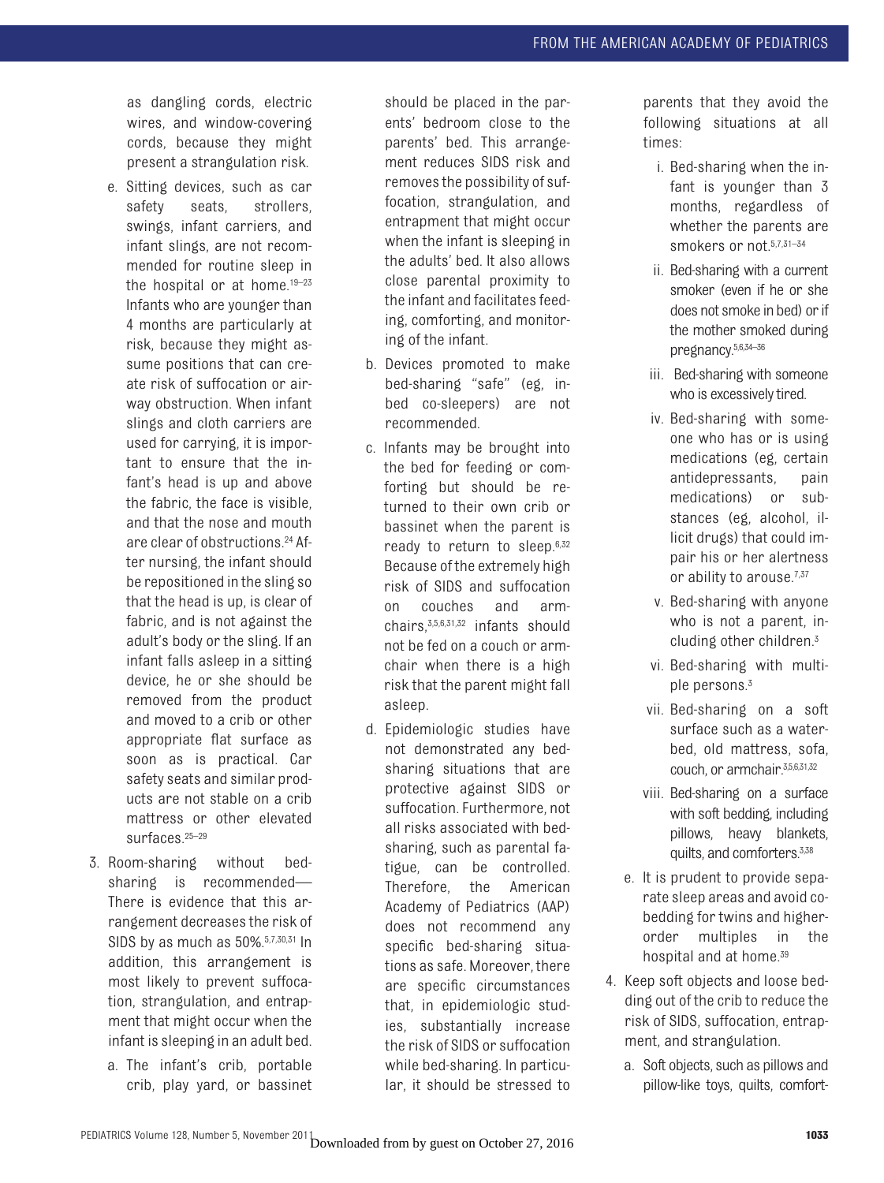as dangling cords, electric wires, and window-covering cords, because they might present a strangulation risk.

- e. Sitting devices, such as car safety seats, strollers, swings, infant carriers, and infant slings, are not recommended for routine sleep in the hospital or at home. $19-23$ Infants who are younger than 4 months are particularly at risk, because they might assume positions that can create risk of suffocation or airway obstruction. When infant slings and cloth carriers are used for carrying, it is important to ensure that the infant's head is up and above the fabric, the face is visible, and that the nose and mouth are clear of obstructions.<sup>24</sup> After nursing, the infant should be repositioned in the sling so that the head is up, is clear of fabric, and is not against the adult's body or the sling. If an infant falls asleep in a sitting device, he or she should be removed from the product and moved to a crib or other appropriate flat surface as soon as is practical. Car safety seats and similar products are not stable on a crib mattress or other elevated surfaces[.25](#page-7-13)[–29](#page-7-14)
- 3. Room-sharing without bedsharing is recommended— There is evidence that this arrangement decreases the risk of SIDS by as much as 50%[.5](#page-6-7)[,7](#page-6-3)[,30,](#page-7-15)[31](#page-7-16) In addition, this arrangement is most likely to prevent suffocation, strangulation, and entrapment that might occur when the infant is sleeping in an adult bed.
	- a. The infant's crib, portable crib, play yard, or bassinet

should be placed in the parents' bedroom close to the parents' bed. This arrangement reduces SIDS risk and removes the possibility of suffocation, strangulation, and entrapment that might occur when the infant is sleeping in the adults' bed. It also allows close parental proximity to the infant and facilitates feeding, comforting, and monitoring of the infant.

- b. Devices promoted to make bed-sharing "safe" (eg, inbed co-sleepers) are not recommended.
- c. Infants may be brought into the bed for feeding or comforting but should be returned to their own crib or bassinet when the parent is ready to return to sleep[.6](#page-6-5)[,32](#page-7-17) Because of the extremely high risk of SIDS and suffocation on couches and armchairs[,3](#page-6-2)[,5](#page-6-7)[,6,](#page-6-5)[31,](#page-7-16)[32](#page-7-17) infants should not be fed on a couch or armchair when there is a high risk that the parent might fall asleep.
- d. Epidemiologic studies have not demonstrated any bedsharing situations that are protective against SIDS or suffocation. Furthermore, not all risks associated with bedsharing, such as parental fatigue, can be controlled. Therefore, the American Academy of Pediatrics (AAP) does not recommend any specific bed-sharing situations as safe. Moreover, there are specific circumstances that, in epidemiologic studies, substantially increase the risk of SIDS or suffocation while bed-sharing. In particular, it should be stressed to

parents that they avoid the following situations at all times:

- i. Bed-sharing when the infant is younger than 3 months, regardless of whether the parents are smokers or not[.5](#page-6-7)[,7,](#page-6-3)[31–](#page-7-16)[34](#page-7-18)
- ii. Bed-sharing with a current smoker (even if he or she does not smoke in bed) or if the mother smoked during pregnanc[y.5](#page-6-7)[,6,](#page-6-5)[34](#page-7-18)[–36](#page-7-19)
- iii. Bed-sharing with someone who is excessively tired.
- iv. Bed-sharing with someone who has or is using medications (eg, certain antidepressants, pain medications) or substances (eg, alcohol, illicit drugs) that could impair his or her alertness or ability to arouse.<sup>7,[37](#page-7-20)</sup>
- v. Bed-sharing with anyone who is not a parent, including other children. $3$
- vi. Bed-sharing with multiple persons[.3](#page-6-2)
- vii. Bed-sharing on a soft surface such as a waterbed, old mattress, sofa, couch, or armchai[r.3](#page-6-2)[,5,](#page-6-7)[6,](#page-6-5)[31,](#page-7-16)[32](#page-7-17)
- viii. Bed-sharing on a surface with soft bedding, including pillows, heavy blankets, quilts, and comforter[s.3](#page-6-2)[,38](#page-7-21)
- e. It is prudent to provide separate sleep areas and avoid cobedding for twins and higherorder multiples in the hospital and at home.<sup>39</sup>
- 4. Keep soft objects and loose bedding out of the crib to reduce the risk of SIDS, suffocation, entrapment, and strangulation.
	- a. Soft objects, such as pillows and pillow-like toys, quilts, comfort-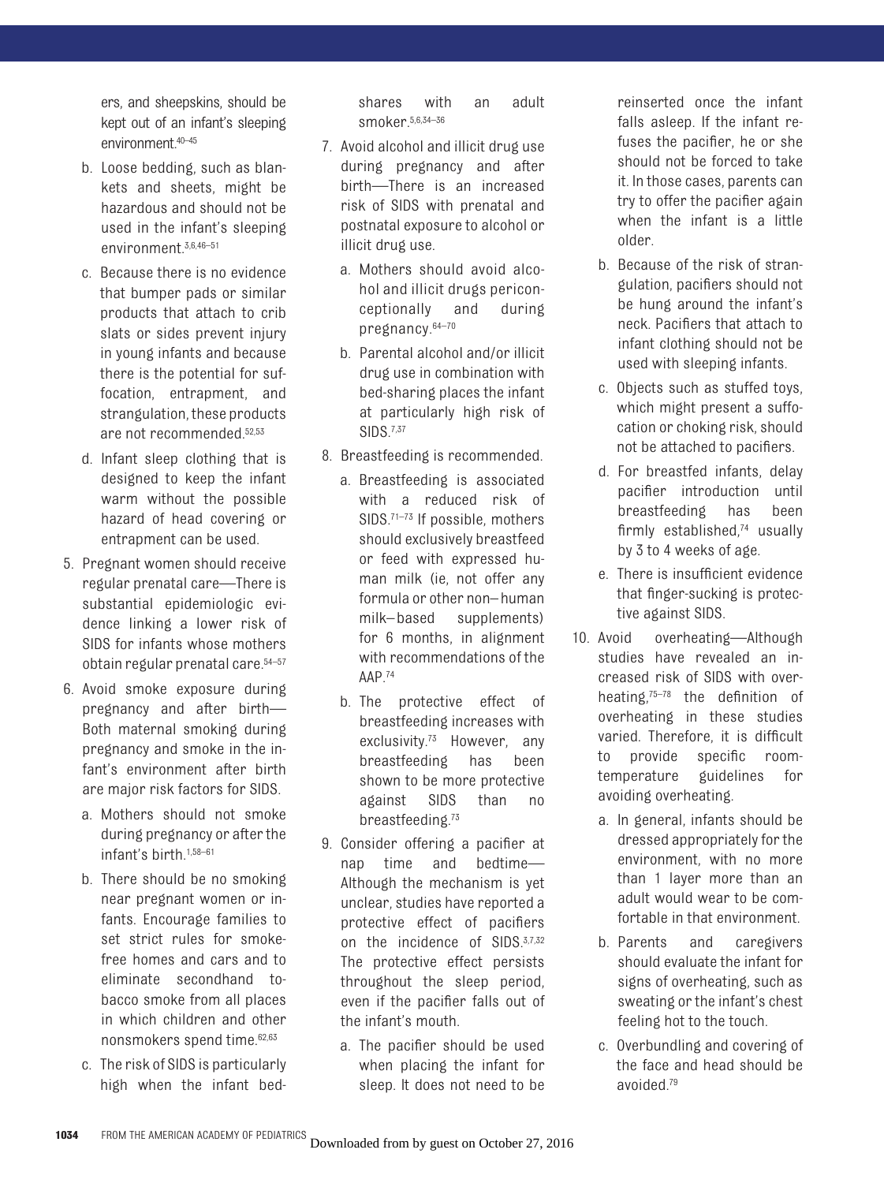ers, and sheepskins, should be kept out of an infant's sleeping environment[.40](#page-7-23)[–45](#page-7-24)

- b. Loose bedding, such as blankets and sheets, might be hazardous and should not be used in the infant's sleeping environment[.3](#page-6-2)[,6,](#page-6-5)[46–](#page-7-25)[51](#page-8-0)
- c. Because there is no evidence that bumper pads or similar products that attach to crib slats or sides prevent injury in young infants and because there is the potential for suffocation, entrapment, and strangulation, these products are not recommended[.52](#page-8-1)[,53](#page-8-2)
- d. Infant sleep clothing that is designed to keep the infant warm without the possible hazard of head covering or entrapment can be used.
- 5. Pregnant women should receive regular prenatal care—There is substantial epidemiologic evidence linking a lower risk of SIDS for infants whose mothers obtain regular prenatal care[.54](#page-8-3)[–57](#page-8-4)
- 6. Avoid smoke exposure during pregnancy and after birth— Both maternal smoking during pregnancy and smoke in the infant's environment after birth are major risk factors for SIDS.
	- a. Mothers should not smoke during pregnancy or after the infant's birth[.1](#page-6-0)[,58](#page-8-5)[–61](#page-8-6)
	- b. There should be no smoking near pregnant women or infants. Encourage families to set strict rules for smokefree homes and cars and to eliminate secondhand tobacco smoke from all places in which children and other nonsmokers spend time[.62](#page-8-7)[,63](#page-8-8)
	- c. The risk of SIDS is particularly high when the infant bed-

shares with an adult smoker[.5,](#page-6-7)[6](#page-6-5)[,34](#page-7-18)[–36](#page-7-19)

- 7. Avoid alcohol and illicit drug use during pregnancy and after birth—There is an increased risk of SIDS with prenatal and postnatal exposure to alcohol or illicit drug use.
	- a. Mothers should avoid alcohol and illicit drugs periconceptionally and during pregnancy[.64](#page-8-9)[–70](#page-8-10)
	- b. Parental alcohol and/or illicit drug use in combination with bed-sharing places the infant at particularly high risk of SIDS[.7,](#page-6-3)[37](#page-7-20)
- 8. Breastfeeding is recommended.
	- a. Breastfeeding is associated with a reduced risk of SIDS.<sup>71-73</sup> If possible, mothers should exclusively breastfeed or feed with expressed human milk (ie, not offer any formula or other non–human milk–based supplements) for 6 months, in alignment with recommendations of the AAP[.74](#page-8-13)
	- b. The protective effect of breastfeeding increases with exclusivity.<sup>73</sup> However, any breastfeeding has been shown to be more protective against SIDS than no breastfeeding[.73](#page-8-12)
- 9. Consider offering a pacifier at nap time and bedtime— Although the mechanism is yet unclear, studies have reported a protective effect of pacifiers on the incidence of SIDS. 3,[7](#page-6-3)[,32](#page-7-17) The protective effect persists throughout the sleep period, even if the pacifier falls out of the infant's mouth.
	- a. The pacifier should be used when placing the infant for sleep. It does not need to be

reinserted once the infant falls asleep. If the infant refuses the pacifier, he or she should not be forced to take it. In those cases, parents can try to offer the pacifier again when the infant is a little older.

- b. Because of the risk of strangulation, pacifiers should not be hung around the infant's neck. Pacifiers that attach to infant clothing should not be used with sleeping infants.
- c. Objects such as stuffed toys, which might present a suffocation or choking risk, should not be attached to pacifiers.
- d. For breastfed infants, delay pacifier introduction until breastfeeding has been firmly established[,74](#page-8-13) usually by 3 to 4 weeks of age.
- e. There is insufficient evidence that finger-sucking is protective against SIDS.
- 10. Avoid overheating—Although studies have revealed an increased risk of SIDS with overheating[,75–](#page-8-14)[78](#page-8-15) the definition of overheating in these studies varied. Therefore, it is difficult to provide specific roomtemperature guidelines for avoiding overheating.
	- a. In general, infants should be dressed appropriately for the environment, with no more than 1 layer more than an adult would wear to be comfortable in that environment.
	- b. Parents and caregivers should evaluate the infant for signs of overheating, such as sweating or the infant's chest feeling hot to the touch.
	- c. Overbundling and covering of the face and head should be avoided[.79](#page-8-16)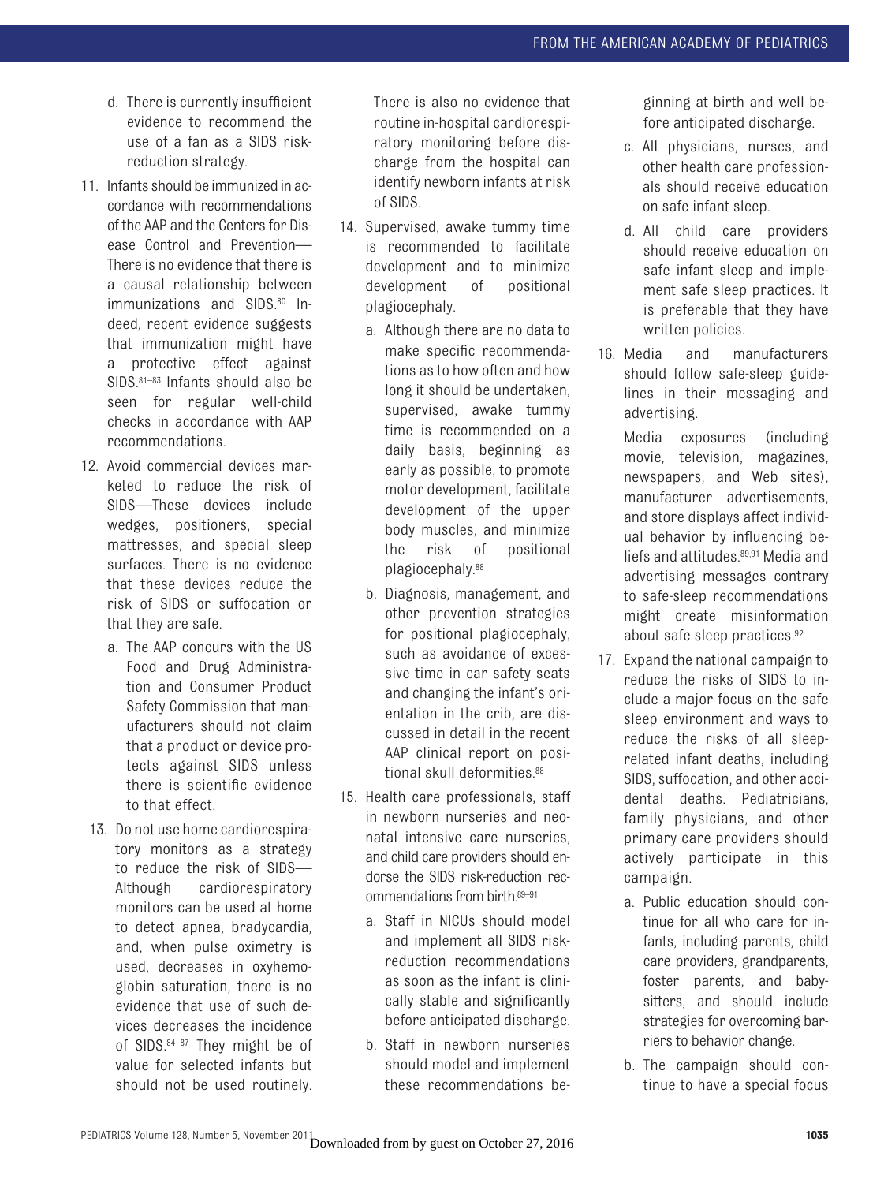- d. There is currently insufficient evidence to recommend the use of a fan as a SIDS riskreduction strategy.
- 11. Infants should be immunized in accordance with recommendations of the AAP and the Centers for Disease Control and Prevention— There is no evidence that there is a causal relationship between immunizations and SIDS.<sup>80</sup> Indeed, recent evidence suggests that immunization might have a protective effect against SIDS.<sup>81–[83](#page-8-19)</sup> Infants should also be seen for regular well-child checks in accordance with AAP recommendations.
- 12. Avoid commercial devices marketed to reduce the risk of SIDS—These devices include wedges, positioners, special mattresses, and special sleep surfaces. There is no evidence that these devices reduce the risk of SIDS or suffocation or that they are safe.
	- a. The AAP concurs with the US Food and Drug Administration and Consumer Product Safety Commission that manufacturers should not claim that a product or device protects against SIDS unless there is scientific evidence to that effect.
- 13. Do not use home cardiorespiratory monitors as a strategy to reduce the risk of SIDS— Although cardiorespiratory monitors can be used at home to detect apnea, bradycardia, and, when pulse oximetry is used, decreases in oxyhemoglobin saturation, there is no evidence that use of such devices decreases the incidence of SIDS[.84](#page-8-20)[–87](#page-9-0) They might be of value for selected infants but should not be used routinely.

There is also no evidence that routine in-hospital cardiorespiratory monitoring before discharge from the hospital can identify newborn infants at risk of SIDS.

- 14. Supervised, awake tummy time is recommended to facilitate development and to minimize development of positional plagiocephaly.
	- a. Although there are no data to make specific recommendations as to how often and how long it should be undertaken, supervised, awake tummy time is recommended on a daily basis, beginning as early as possible, to promote motor development, facilitate development of the upper body muscles, and minimize the risk of positional plagiocephaly[.88](#page-9-1)
	- b. Diagnosis, management, and other prevention strategies for positional plagiocephaly, such as avoidance of excessive time in car safety seats and changing the infant's orientation in the crib, are discussed in detail in the recent AAP clinical report on positional skull deformities.<sup>88</sup>
- 15. Health care professionals, staff in newborn nurseries and neonatal intensive care nurseries, and child care providers should endorse the SIDS risk-reduction rec-ommendations from birth<sup>89–[91](#page-9-3)</sup>
	- a. Staff in NICUs should model and implement all SIDS riskreduction recommendations as soon as the infant is clinically stable and significantly before anticipated discharge.
	- b. Staff in newborn nurseries should model and implement these recommendations be-

ginning at birth and well before anticipated discharge.

- c. All physicians, nurses, and other health care professionals should receive education on safe infant sleep.
- d. All child care providers should receive education on safe infant sleep and implement safe sleep practices. It is preferable that they have written policies.
- 16. Media and manufacturers should follow safe-sleep guidelines in their messaging and advertising.

Media exposures (including movie, television, magazines, newspapers, and Web sites), manufacturer advertisements, and store displays affect individual behavior by influencing beliefs and attitudes[.89](#page-9-2)[,91](#page-9-3) Media and advertising messages contrary to safe-sleep recommendations might create misinformation about safe sleep practices[.92](#page-9-4)

- 17. Expand the national campaign to reduce the risks of SIDS to include a major focus on the safe sleep environment and ways to reduce the risks of all sleeprelated infant deaths, including SIDS, suffocation, and other accidental deaths. Pediatricians, family physicians, and other primary care providers should actively participate in this campaign.
	- a. Public education should continue for all who care for infants, including parents, child care providers, grandparents, foster parents, and babysitters, and should include strategies for overcoming barriers to behavior change.
	- b. The campaign should continue to have a special focus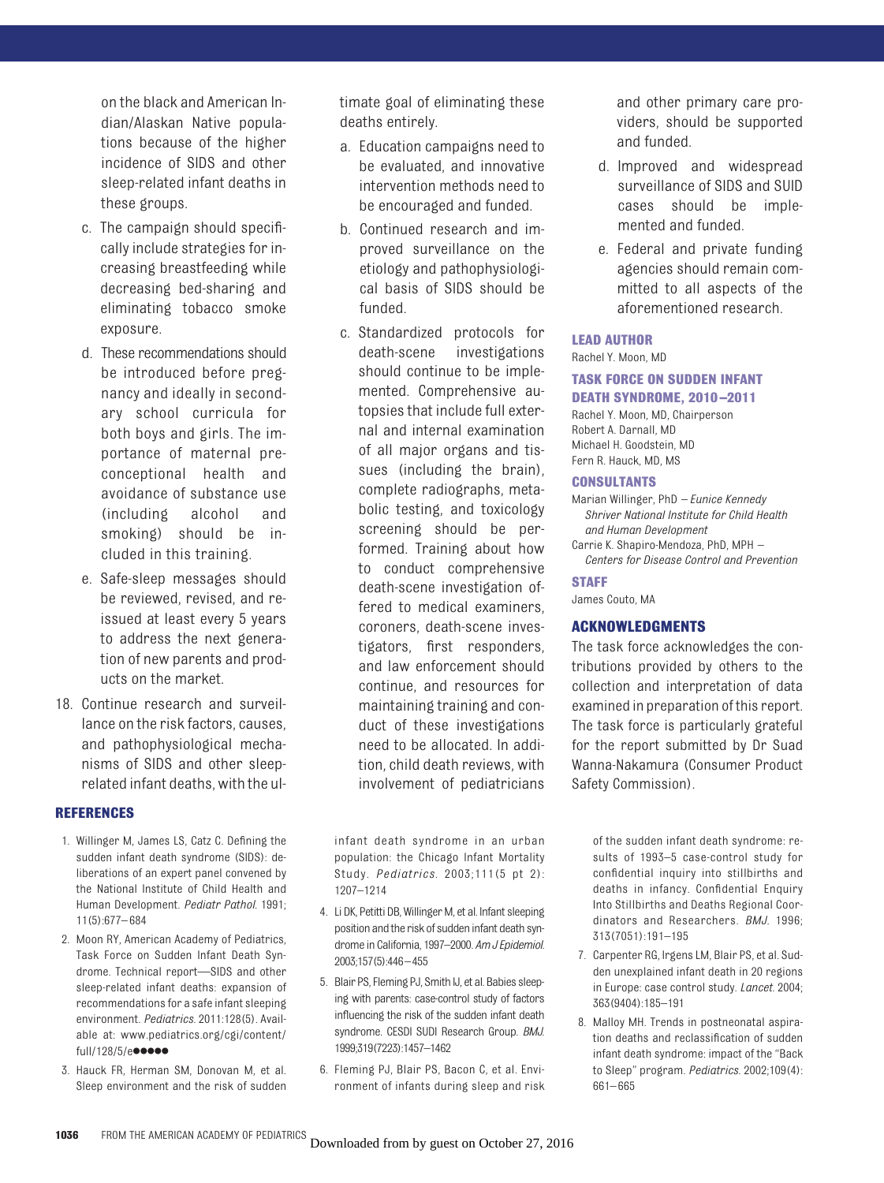on the black and American Indian/Alaskan Native populations because of the higher incidence of SIDS and other sleep-related infant deaths in these groups.

- c. The campaign should specifically include strategies for increasing breastfeeding while decreasing bed-sharing and eliminating tobacco smoke exposure.
- d. These recommendations should be introduced before pregnancy and ideally in secondary school curricula for both boys and girls. The importance of maternal preconceptional health and avoidance of substance use (including alcohol and smoking) should be included in this training.
- e. Safe-sleep messages should be reviewed, revised, and reissued at least every 5 years to address the next generation of new parents and products on the market.
- 18. Continue research and surveillance on the risk factors, causes, and pathophysiological mechanisms of SIDS and other sleeprelated infant deaths, with the ul-

#### **REFERENCES**

- <span id="page-6-0"></span>1. Willinger M, James LS, Catz C. Defining the sudden infant death syndrome (SIDS): deliberations of an expert panel convened by the National Institute of Child Health and Human Development. *Pediatr Pathol*. 1991; 11(5):677– 684
- <span id="page-6-1"></span>2. Moon RY, American Academy of Pediatrics Task Force on Sudden Infant Death Syndrome. Technical report—SIDS and other sleep-related infant deaths: expansion of recommendations for a safe infant sleeping environment. *Pediatrics*. 2011:128(5). Available at: [www.pediatrics.org/cgi/content/](www.pediatrics.org/cgi/content/full/128/5/eXXX) [full/128/5/e](www.pediatrics.org/cgi/content/full/128/5/eXXX)●●●●●
- <span id="page-6-2"></span>3. Hauck FR, Herman SM, Donovan M, et al. Sleep environment and the risk of sudden

timate goal of eliminating these deaths entirely.

- a. Education campaigns need to be evaluated, and innovative intervention methods need to be encouraged and funded.
- b. Continued research and improved surveillance on the etiology and pathophysiological basis of SIDS should be funded.
- c. Standardized protocols for death-scene investigations should continue to be implemented. Comprehensive autopsies that include full external and internal examination of all major organs and tissues (including the brain), complete radiographs, metabolic testing, and toxicology screening should be performed. Training about how to conduct comprehensive death-scene investigation offered to medical examiners, coroners, death-scene investigators, first responders, and law enforcement should continue, and resources for maintaining training and conduct of these investigations need to be allocated. In addition, child death reviews, with involvement of pediatricians

and other primary care providers, should be supported and funded.

- d. Improved and widespread surveillance of SIDS and SUID cases should be implemented and funded.
- e. Federal and private funding agencies should remain committed to all aspects of the aforementioned research.

#### **LEAD AUTHOR**

Rachel Y. Moon, MD

#### **TASK FORCE ON SUDDEN INFANT DEATH SYNDROME, 2010 –2011**

Rachel Y. Moon, MD, Chairperson Robert A. Darnall, MD Michael H. Goodstein, MD Fern R. Hauck, MD, MS

#### **CONSULTANTS**

- Marian Willinger, PhD  *Eunice Kennedy Shriver National Institute for Child Health and Human Development*
- Carrie K. Shapiro-Mendoza, PhD, MPH *– Centers for Disease Control and Prevention*

#### **STAFF**

James Couto, MA

#### **ACKNOWLEDGMENTS**

The task force acknowledges the contributions provided by others to the collection and interpretation of data examined in preparation of this report. The task force is particularly grateful for the report submitted by Dr Suad Wanna-Nakamura (Consumer Product Safety Commission).

infant death syndrome in an urban population: the Chicago Infant Mortality Study. *Pediatrics*. 2003;111(5 pt 2): 1207–1214

- <span id="page-6-4"></span>4. Li DK, Petitti DB, Willinger M, et al. Infant sleeping position and the risk of sudden infant death syndrome in California, 1997–2000. *Am J Epidemiol*. 2003;157(5):446–455
- <span id="page-6-7"></span>5. Blair PS, Fleming PJ, Smith IJ, et al. Babies sleeping with parents: case-control study of factors influencing the risk of the sudden infant death syndrome. CESDI SUDI Research Group. *BMJ*. 1999;319(7223):1457–1462
- <span id="page-6-5"></span>6. Fleming PJ, Blair PS, Bacon C, et al. Environment of infants during sleep and risk

of the sudden infant death syndrome: results of 1993–5 case-control study for confidential inquiry into stillbirths and deaths in infancy. Confidential Enquiry Into Stillbirths and Deaths Regional Coordinators and Researchers. *BMJ*. 1996; 313(7051):191–195

- <span id="page-6-3"></span>7. Carpenter RG, Irgens LM, Blair PS, et al. Sudden unexplained infant death in 20 regions in Europe: case control study. *Lancet*. 2004; 363(9404):185–191
- <span id="page-6-6"></span>8. Malloy MH. Trends in postneonatal aspiration deaths and reclassification of sudden infant death syndrome: impact of the "Back to Sleep" program. *Pediatrics*. 2002;109(4): 661– 665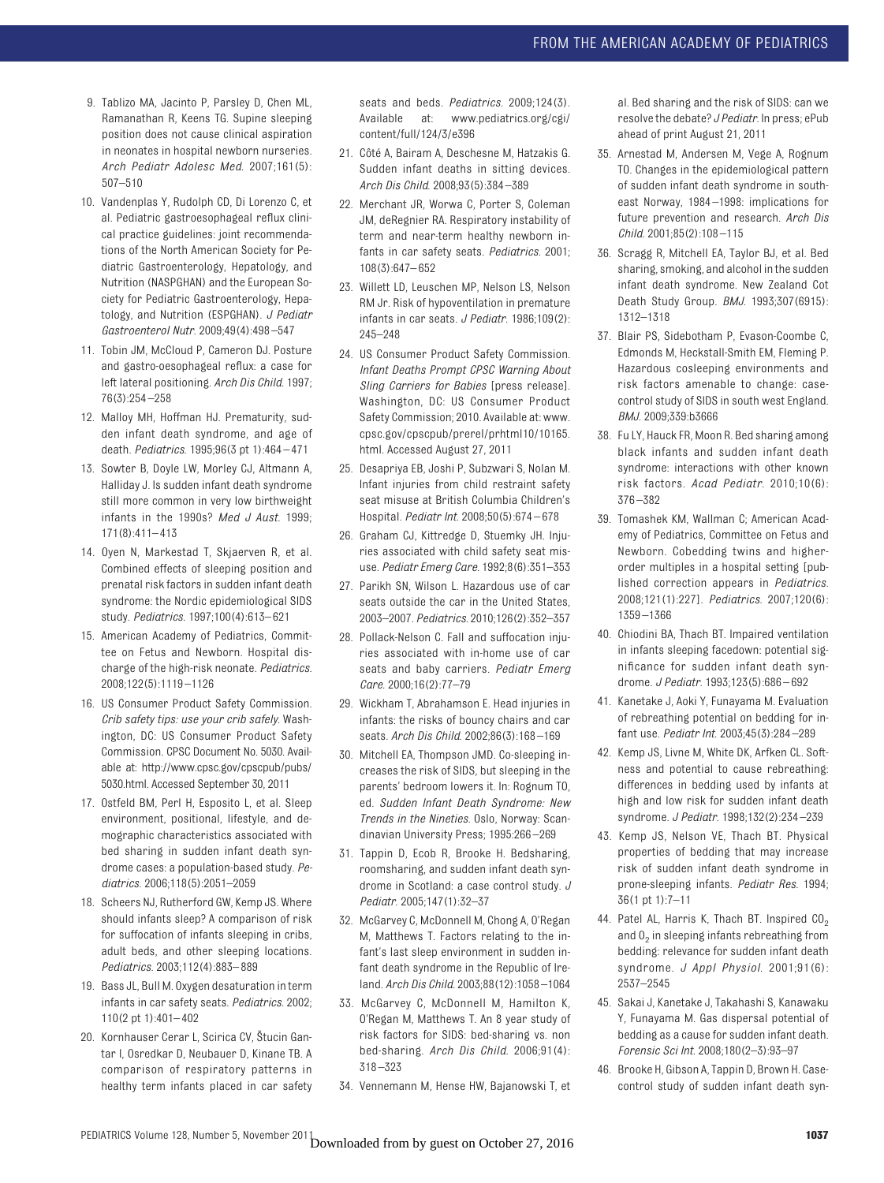- <span id="page-7-0"></span>9. Tablizo MA, Jacinto P, Parsley D, Chen ML, Ramanathan R, Keens TG. Supine sleeping position does not cause clinical aspiration in neonates in hospital newborn nurseries. *Arch Pediatr Adolesc Med*. 2007;161(5): 507–510
- <span id="page-7-1"></span>10. Vandenplas Y, Rudolph CD, Di Lorenzo C, et al. Pediatric gastroesophageal reflux clinical practice guidelines: joint recommendations of the North American Society for Pediatric Gastroenterology, Hepatology, and Nutrition (NASPGHAN) and the European Society for Pediatric Gastroenterology, Hepatology, and Nutrition (ESPGHAN). *J Pediatr Gastroenterol Nutr*. 2009;49(4):498 –547
- <span id="page-7-2"></span>11. Tobin JM, McCloud P, Cameron DJ. Posture and gastro-oesophageal reflux: a case for left lateral positioning. *Arch Dis Child*. 1997; 76(3):254 –258
- <span id="page-7-3"></span>12. Malloy MH, Hoffman HJ. Prematurity, sudden infant death syndrome, and age of death. *Pediatrics*. 1995;96(3 pt 1):464 – 471
- <span id="page-7-4"></span>13. Sowter B, Doyle LW, Morley CJ, Altmann A, Halliday J. Is sudden infant death syndrome still more common in very low birthweight infants in the 1990s? *Med J Aust*. 1999; 171(8):411– 413
- <span id="page-7-5"></span>14. Oyen N, Markestad T, Skjaerven R, et al. Combined effects of sleeping position and prenatal risk factors in sudden infant death syndrome: the Nordic epidemiological SIDS study. *Pediatrics*. 1997;100(4):613– 621
- <span id="page-7-6"></span>15. American Academy of Pediatrics, Committee on Fetus and Newborn. Hospital discharge of the high-risk neonate. *Pediatrics*. 2008;122(5):1119 –1126
- <span id="page-7-7"></span>16. US Consumer Product Safety Commission. *Crib safety tips: use your crib safely*. Washington, DC: US Consumer Product Safety Commission. CPSC Document No. 5030. Available at: [http://www.cpsc.gov/cpscpub/pubs/](www.cpsc.gov/cpscpub/pubs/5030.html) [5030.html.](www.cpsc.gov/cpscpub/pubs/5030.html) Accessed September 30, 2011
- <span id="page-7-8"></span>17. Ostfeld BM, Perl H, Esposito L, et al. Sleep environment, positional, lifestyle, and demographic characteristics associated with bed sharing in sudden infant death syndrome cases: a population-based study. *Pediatrics*. 2006;118(5):2051–2059
- <span id="page-7-9"></span>18. Scheers NJ, Rutherford GW, Kemp JS. Where should infants sleep? A comparison of risk for suffocation of infants sleeping in cribs, adult beds, and other sleeping locations. *Pediatrics*. 2003;112(4):883– 889
- <span id="page-7-10"></span>19. Bass JL, Bull M. Oxygen desaturation in term infants in car safety seats. *Pediatrics*. 2002; 110(2 pt 1):401– 402
- 20. Kornhauser Cerar L, Scirica CV, Štucin Gantar I, Osredkar D, Neubauer D, Kinane TB. A comparison of respiratory patterns in healthy term infants placed in car safety

seats and beds. *Pediatrics*. 2009;124(3). Available at: [www.pediatrics.org/cgi/](www.pediatrics.org/cgi/content/full/124/3/e396) [content/full/124/3/e396](www.pediatrics.org/cgi/content/full/124/3/e396)

- 21. Côté A, Bairam A, Deschesne M, Hatzakis G. Sudden infant deaths in sitting devices. *Arch Dis Child*. 2008;93(5):384 –389
- 22. Merchant JR, Worwa C, Porter S, Coleman JM, deRegnier RA. Respiratory instability of term and near-term healthy newborn infants in car safety seats. *Pediatrics*. 2001; 108(3):647– 652
- <span id="page-7-11"></span>23. Willett LD, Leuschen MP, Nelson LS, Nelson RM Jr. Risk of hypoventilation in premature infants in car seats. *J Pediatr*. 1986;109(2): 245–248
- <span id="page-7-12"></span>24. US Consumer Product Safety Commission. *Infant Deaths Prompt CPSC Warning About Sling Carriers for Babies* [press release]. Washington, DC: US Consumer Product Safety Commission; 2010. Available at: [www.](www.cpsc.gov/cpscpub/prerel/prhtml10/10165.html) [cpsc.gov/cpscpub/prerel/prhtml10/10165.](www.cpsc.gov/cpscpub/prerel/prhtml10/10165.html) [html.](www.cpsc.gov/cpscpub/prerel/prhtml10/10165.html) Accessed August 27, 2011
- <span id="page-7-13"></span>25. Desapriya EB, Joshi P, Subzwari S, Nolan M. Infant injuries from child restraint safety seat misuse at British Columbia Children's Hospital. *Pediatr Int*. 2008;50(5):674 – 678
- 26. Graham CJ, Kittredge D, Stuemky JH. Injuries associated with child safety seat misuse. *Pediatr Emerg Care*. 1992;8(6):351–353
- 27. Parikh SN, Wilson L. Hazardous use of car seats outside the car in the United States, 2003–2007. *Pediatrics*. 2010;126(2):352–357
- 28. Pollack-Nelson C. Fall and suffocation injuries associated with in-home use of car seats and baby carriers. *Pediatr Emerg Care*. 2000;16(2):77–79
- <span id="page-7-14"></span>29. Wickham T, Abrahamson E. Head injuries in infants: the risks of bouncy chairs and car seats. *Arch Dis Child*. 2002;86(3):168 –169
- <span id="page-7-15"></span>30. Mitchell EA, Thompson JMD. Co-sleeping increases the risk of SIDS, but sleeping in the parents' bedroom lowers it. In: Rognum TO, ed. *Sudden Infant Death Syndrome: New Trends in the Nineties*. Oslo, Norway: Scandinavian University Press; 1995:266 –269
- <span id="page-7-16"></span>31. Tappin D, Ecob R, Brooke H. Bedsharing, roomsharing, and sudden infant death syndrome in Scotland: a case control study. *J Pediatr*. 2005;147(1):32–37
- <span id="page-7-17"></span>32. McGarvey C, McDonnell M, Chong A, O'Regan M, Matthews T. Factors relating to the infant's last sleep environment in sudden infant death syndrome in the Republic of Ireland. *Arch Dis Child*. 2003;88(12):1058 –1064
- 33. McGarvey C, McDonnell M, Hamilton K, O'Regan M, Matthews T. An 8 year study of risk factors for SIDS: bed-sharing vs. non bed-sharing. *Arch Dis Child*. 2006;91(4): 318 –323
- <span id="page-7-18"></span>34. Vennemann M, Hense HW, Bajanowski T, et

al. Bed sharing and the risk of SIDS: can we resolve the debate? *J Pediatr*. In press; ePub ahead of print August 21, 2011

- 35. Arnestad M, Andersen M, Vege A, Rognum TO. Changes in the epidemiological pattern of sudden infant death syndrome in southeast Norway, 1984 –1998: implications for future prevention and research. *Arch Dis Child*. 2001;85(2):108 –115
- <span id="page-7-19"></span>36. Scragg R, Mitchell EA, Taylor BJ, et al. Bed sharing, smoking, and alcohol in the sudden infant death syndrome. New Zealand Cot Death Study Group. *BMJ*. 1993;307(6915): 1312–1318
- <span id="page-7-20"></span>37. Blair PS, Sidebotham P, Evason-Coombe C, Edmonds M, Heckstall-Smith EM, Fleming P. Hazardous cosleeping environments and risk factors amenable to change: casecontrol study of SIDS in south west England. *BMJ*. 2009;339:b3666
- <span id="page-7-21"></span>38. Fu LY, Hauck FR, Moon R. Bed sharing among black infants and sudden infant death syndrome: interactions with other known risk factors. *Acad Pediatr*. 2010;10(6): 376 –382
- <span id="page-7-22"></span>39. Tomashek KM, Wallman C; American Academy of Pediatrics, Committee on Fetus and Newborn. Cobedding twins and higherorder multiples in a hospital setting [published correction appears in *Pediatrics*. 2008;121(1):227]. *Pediatrics*. 2007;120(6): 1359 –1366
- <span id="page-7-23"></span>40. Chiodini BA, Thach BT. Impaired ventilation in infants sleeping facedown: potential significance for sudden infant death syndrome. *J Pediatr*. 1993;123(5):686 – 692
- 41. Kanetake J, Aoki Y, Funayama M. Evaluation of rebreathing potential on bedding for infant use. *Pediatr Int*. 2003;45(3):284 –289
- 42. Kemp JS, Livne M, White DK, Arfken CL. Softness and potential to cause rebreathing: differences in bedding used by infants at high and low risk for sudden infant death syndrome. *J Pediatr*. 1998;132(2):234 –239
- 43. Kemp JS, Nelson VE, Thach BT. Physical properties of bedding that may increase risk of sudden infant death syndrome in prone-sleeping infants. *Pediatr Res*. 1994; 36(1 pt 1):7–11
- 44. Patel AL, Harris K, Thach BT. Inspired  $CO<sub>2</sub>$ and  $0<sub>o</sub>$  in sleeping infants rebreathing from bedding: relevance for sudden infant death syndrome. *J Appl Physiol*. 2001;91(6): 2537–2545
- <span id="page-7-24"></span>45. Sakai J, Kanetake J, Takahashi S, Kanawaku Y, Funayama M. Gas dispersal potential of bedding as a cause for sudden infant death. *Forensic Sci Int*. 2008;180(2–3):93–97
- <span id="page-7-25"></span>46. Brooke H, Gibson A, Tappin D, Brown H. Casecontrol study of sudden infant death syn-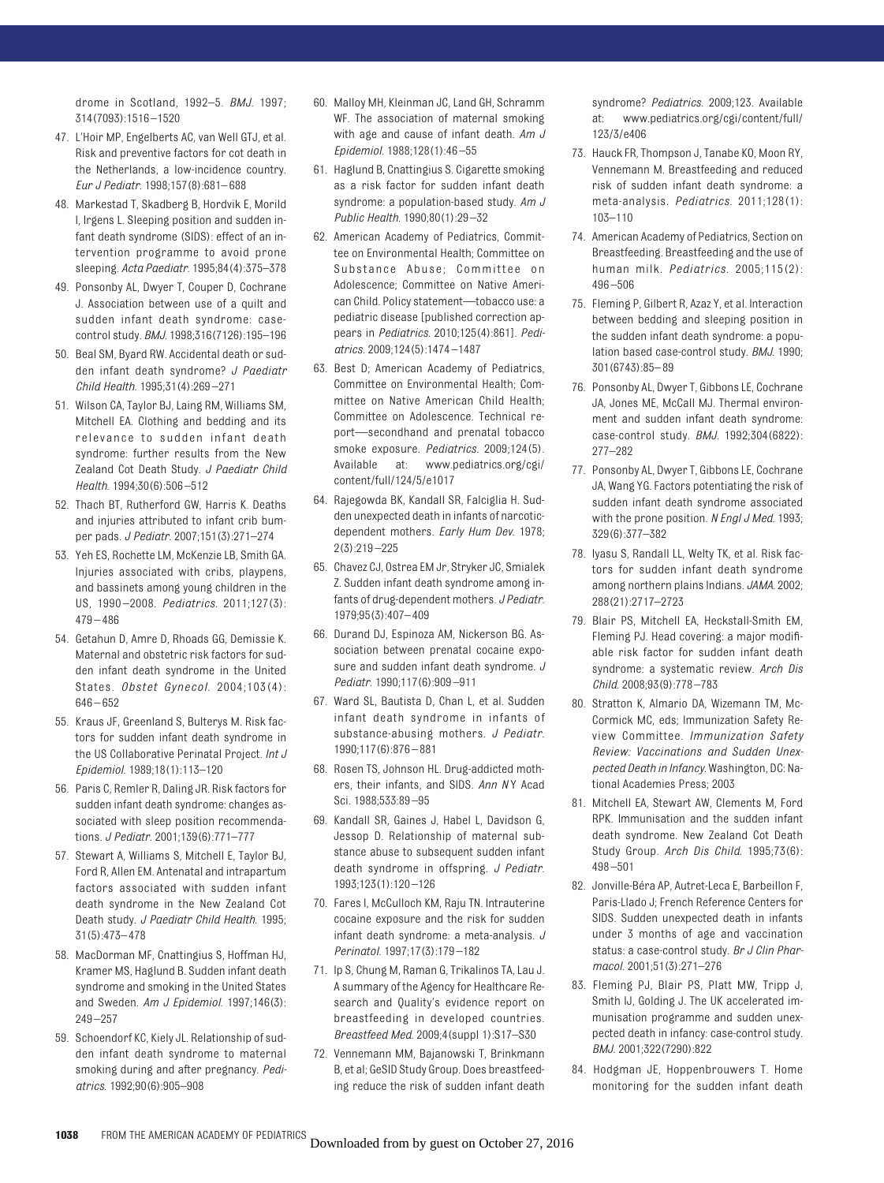drome in Scotland, 1992–5. *BMJ*. 1997; 314(7093):1516 –1520

- 47. L'Hoir MP, Engelberts AC, van Well GTJ, et al. Risk and preventive factors for cot death in the Netherlands, a low-incidence country. *Eur J Pediatr*. 1998;157(8):681– 688
- 48. Markestad T, Skadberg B, Hordvik E, Morild I, Irgens L. Sleeping position and sudden infant death syndrome (SIDS): effect of an intervention programme to avoid prone sleeping. *Acta Paediatr*. 1995;84(4):375–378
- 49. Ponsonby AL, Dwyer T, Couper D, Cochrane J. Association between use of a quilt and sudden infant death syndrome: casecontrol study. *BMJ*. 1998;316(7126):195–196
- 50. Beal SM, Byard RW. Accidental death or sudden infant death syndrome? *J Paediatr Child Health*. 1995;31(4):269 –271
- <span id="page-8-0"></span>51. Wilson CA, Taylor BJ, Laing RM, Williams SM, Mitchell EA. Clothing and bedding and its relevance to sudden infant death syndrome: further results from the New Zealand Cot Death Study. *J Paediatr Child Health*. 1994;30(6):506 –512
- <span id="page-8-1"></span>52. Thach BT, Rutherford GW, Harris K. Deaths and injuries attributed to infant crib bumper pads. *J Pediatr*. 2007;151(3):271–274
- <span id="page-8-2"></span>53. Yeh ES, Rochette LM, McKenzie LB, Smith GA. Injuries associated with cribs, playpens, and bassinets among young children in the US, 1990 –2008. *Pediatrics*. 2011;127(3): 479 – 486
- <span id="page-8-3"></span>54. Getahun D, Amre D, Rhoads GG, Demissie K. Maternal and obstetric risk factors for sudden infant death syndrome in the United States. *Obstet Gynecol*. 2004;103(4): 646 – 652
- 55. Kraus JF, Greenland S, Bulterys M. Risk factors for sudden infant death syndrome in the US Collaborative Perinatal Project. *Int J Epidemiol*. 1989;18(1):113–120
- 56. Paris C, Remler R, Daling JR. Risk factors for sudden infant death syndrome: changes associated with sleep position recommendations. *J Pediatr*. 2001;139(6):771–777
- <span id="page-8-4"></span>57. Stewart A, Williams S, Mitchell E, Taylor BJ, Ford R, Allen EM. Antenatal and intrapartum factors associated with sudden infant death syndrome in the New Zealand Cot Death study. *J Paediatr Child Health*. 1995; 31(5):473– 478
- <span id="page-8-5"></span>58. MacDorman MF, Cnattingius S, Hoffman HJ, Kramer MS, Haglund B. Sudden infant death syndrome and smoking in the United States and Sweden. *Am J Epidemiol*. 1997;146(3): 249 –257
- 59. Schoendorf KC, Kiely JL. Relationship of sudden infant death syndrome to maternal smoking during and after pregnancy. *Pediatrics*. 1992;90(6):905–908
- 60. Malloy MH, Kleinman JC, Land GH, Schramm WF. The association of maternal smoking with age and cause of infant death. *Am J Epidemiol*. 1988;128(1):46 –55
- <span id="page-8-6"></span>61. Haglund B, Cnattingius S. Cigarette smoking as a risk factor for sudden infant death syndrome: a population-based study. *Am J Public Health*. 1990;80(1):29 –32
- <span id="page-8-7"></span>62. American Academy of Pediatrics, Committee on Environmental Health; Committee on Substance Abuse; Committee on Adolescence; Committee on Native American Child. Policy statement—tobacco use: a pediatric disease [published correction appears in *Pediatrics*. 2010;125(4):861]. *Pediatrics*. 2009;124(5):1474 –1487
- <span id="page-8-8"></span>63. Best D; American Academy of Pediatrics, Committee on Environmental Health; Committee on Native American Child Health; Committee on Adolescence. Technical report—secondhand and prenatal tobacco smoke exposure. *Pediatrics*. 2009;124(5). Available at: [www.pediatrics.org/cgi/](www.pediatrics.org/cgi/content/full/124/5/e1017) [content/full/124/5/e1017](www.pediatrics.org/cgi/content/full/124/5/e1017)
- <span id="page-8-9"></span>64. Rajegowda BK, Kandall SR, Falciglia H. Sudden unexpected death in infants of narcoticdependent mothers. *Early Hum Dev*. 1978; 2(3):219 –225
- 65. Chavez CJ, Ostrea EM Jr, Stryker JC, Smialek Z. Sudden infant death syndrome among infants of drug-dependent mothers. *J Pediatr*. 1979;95(3):407– 409
- 66. Durand DJ, Espinoza AM, Nickerson BG. Association between prenatal cocaine exposure and sudden infant death syndrome. *J Pediatr*. 1990;117(6):909 –911
- 67. Ward SL, Bautista D, Chan L, et al. Sudden infant death syndrome in infants of substance-abusing mothers. *J Pediatr*. 1990;117(6):876 – 881
- 68. Rosen TS, Johnson HL. Drug-addicted mothers, their infants, and SIDS. *Ann N* Y Acad Sci. 1988;533:89 –95
- 69. Kandall SR, Gaines J, Habel L, Davidson G, Jessop D. Relationship of maternal substance abuse to subsequent sudden infant death syndrome in offspring. *J Pediatr*. 1993;123(1):120 –126
- <span id="page-8-10"></span>70. Fares I, McCulloch KM, Raju TN. Intrauterine cocaine exposure and the risk for sudden infant death syndrome: a meta-analysis. *J Perinatol*. 1997;17(3):179 –182
- <span id="page-8-11"></span>71. Ip S, Chung M, Raman G, Trikalinos TA, Lau J. A summary of the Agency for Healthcare Research and Quality's evidence report on breastfeeding in developed countries. *Breastfeed Med*. 2009;4(suppl 1):S17–S30
- 72. Vennemann MM, Bajanowski T, Brinkmann B, et al; GeSID Study Group. Does breastfeeding reduce the risk of sudden infant death

syndrome? *Pediatrics*. 2009;123. Available at: [www.pediatrics.org/cgi/content/full/](www.pediatrics.org/cgi/content/full/123/3/e406) [123/3/e406](www.pediatrics.org/cgi/content/full/123/3/e406)

- <span id="page-8-12"></span>73. Hauck FR, Thompson J, Tanabe KO, Moon RY, Vennemann M. Breastfeeding and reduced risk of sudden infant death syndrome: a meta-analysis. *Pediatrics*. 2011;128(1): 103–110
- <span id="page-8-13"></span>74. American Academy of Pediatrics, Section on Breastfeeding. Breastfeeding and the use of human milk. *Pediatrics*. 2005;115(2): 496 –506
- <span id="page-8-14"></span>75. Fleming P, Gilbert R, Azaz Y, et al. Interaction between bedding and sleeping position in the sudden infant death syndrome: a population based case-control study. *BMJ*. 1990; 301(6743):85– 89
- 76. Ponsonby AL, Dwyer T, Gibbons LE, Cochrane JA, Jones ME, McCall MJ. Thermal environment and sudden infant death syndrome: case-control study. *BMJ*. 1992;304(6822): 277–282
- 77. Ponsonby AL, Dwyer T, Gibbons LE, Cochrane JA, Wang YG. Factors potentiating the risk of sudden infant death syndrome associated with the prone position. *N Engl J Med*. 1993; 329(6):377–382
- <span id="page-8-15"></span>78. Iyasu S, Randall LL, Welty TK, et al. Risk factors for sudden infant death syndrome among northern plains Indians. *JAMA*. 2002; 288(21):2717–2723
- <span id="page-8-16"></span>79. Blair PS, Mitchell EA, Heckstall-Smith EM, Fleming PJ. Head covering: a major modifiable risk factor for sudden infant death syndrome: a systematic review. *Arch Dis Child*. 2008;93(9):778 –783
- <span id="page-8-17"></span>80. Stratton K, Almario DA, Wizemann TM, Mc-Cormick MC, eds; Immunization Safety Review Committee. *Immunization Safety Review: Vaccinations and Sudden Unexpected Death in Infancy*. Washington, DC: National Academies Press; 2003
- <span id="page-8-18"></span>81. Mitchell EA, Stewart AW, Clements M, Ford RPK. Immunisation and the sudden infant death syndrome. New Zealand Cot Death Study Group. *Arch Dis Child*. 1995;73(6): 498 –501
- 82. Jonville-Béra AP, Autret-Leca E, Barbeillon F, Paris-Llado J; French Reference Centers for SIDS. Sudden unexpected death in infants under 3 months of age and vaccination status: a case-control study. *Br J Clin Pharmacol*. 2001;51(3):271–276
- <span id="page-8-19"></span>83. Fleming PJ, Blair PS, Platt MW, Tripp J, Smith IJ, Golding J. The UK accelerated immunisation programme and sudden unexpected death in infancy: case-control study. *BMJ*. 2001;322(7290):822
- <span id="page-8-20"></span>84. Hodgman JE, Hoppenbrouwers T. Home monitoring for the sudden infant death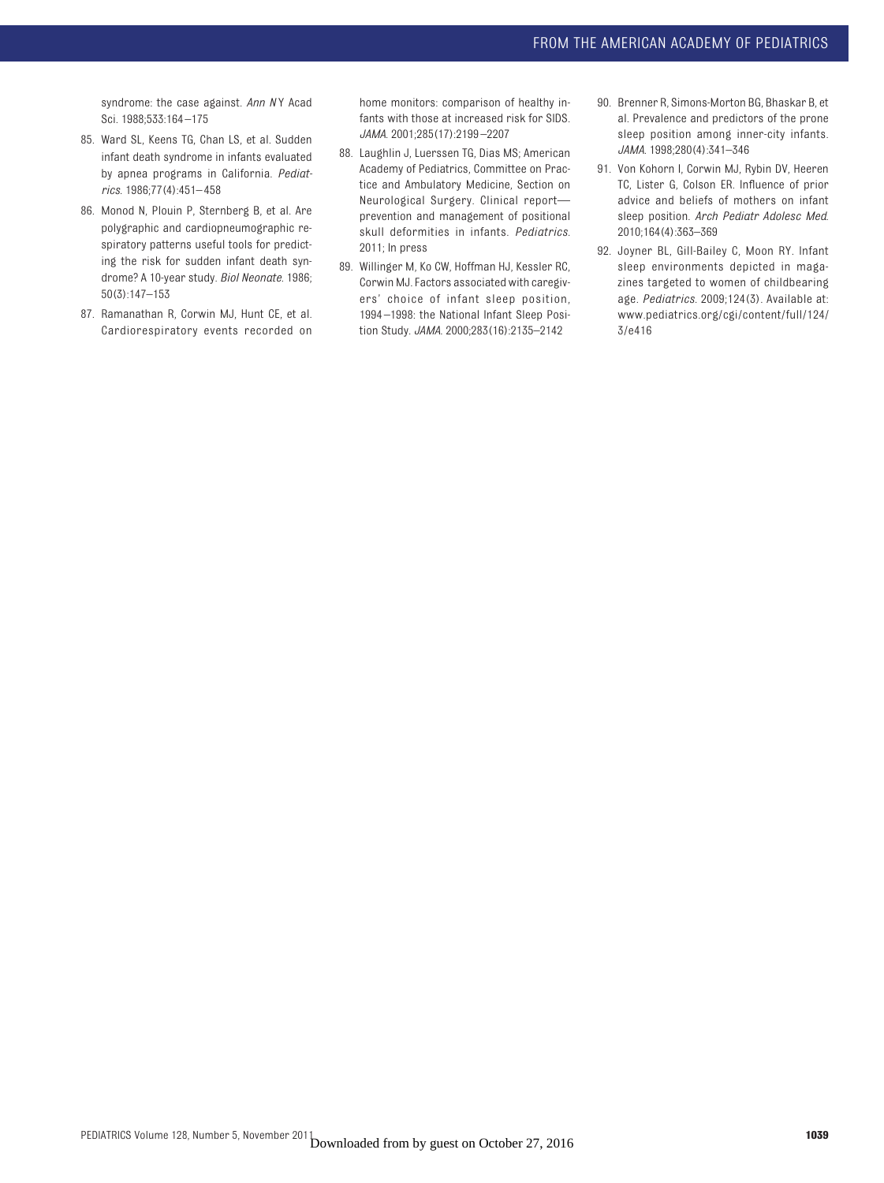syndrome: the case against. Ann NY Acad Sci. 1988;533:164 –175

- 85. Ward SL, Keens TG, Chan LS, et al. Sudden infant death syndrome in infants evaluated by apnea programs in California. *Pediatrics*. 1986;77(4):451– 458
- 86. Monod N, Plouin P, Sternberg B, et al. Are polygraphic and cardiopneumographic respiratory patterns useful tools for predicting the risk for sudden infant death syndrome? A 10-year study. *Biol Neonate*. 1986; 50(3):147–153
- <span id="page-9-0"></span>87. Ramanathan R, Corwin MJ, Hunt CE, et al. Cardiorespiratory events recorded on

home monitors: comparison of healthy infants with those at increased risk for SIDS. *JAMA*. 2001;285(17):2199 –2207

- <span id="page-9-1"></span>88. Laughlin J, Luerssen TG, Dias MS; American Academy of Pediatrics, Committee on Practice and Ambulatory Medicine, Section on Neurological Surgery. Clinical report prevention and management of positional skull deformities in infants. *Pediatrics*. 2011; In press
- <span id="page-9-2"></span>89. Willinger M, Ko CW, Hoffman HJ, Kessler RC, Corwin MJ. Factors associated with caregivers' choice of infant sleep position, 1994 –1998: the National Infant Sleep Position Study. *JAMA*. 2000;283(16):2135–2142
- 90. Brenner R, Simons-Morton BG, Bhaskar B, et al. Prevalence and predictors of the prone sleep position among inner-city infants. *JAMA*. 1998;280(4):341–346
- <span id="page-9-3"></span>91. Von Kohorn I, Corwin MJ, Rybin DV, Heeren TC, Lister G, Colson ER. Influence of prior advice and beliefs of mothers on infant sleep position. *Arch Pediatr Adolesc Med*. 2010;164(4):363–369
- <span id="page-9-4"></span>92. Joyner BL, Gill-Bailey C, Moon RY. Infant sleep environments depicted in magazines targeted to women of childbearing age. *Pediatrics*. 2009;124(3). Available at: [www.pediatrics.org/cgi/content/full/124/](www.pediatrics.org/cgi/content/full/124/3/e416) [3/e416](www.pediatrics.org/cgi/content/full/124/3/e416)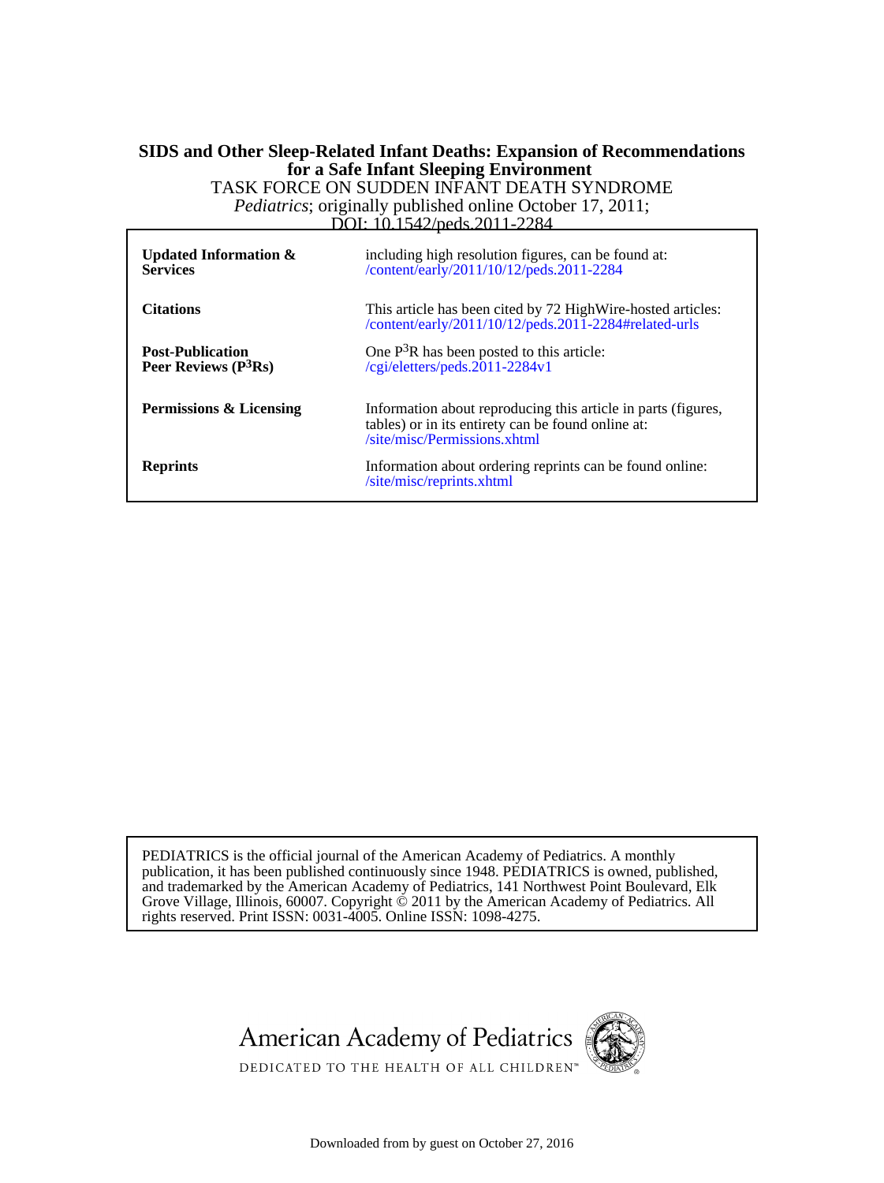#### TASK FORCE ON SUDDEN INFANT DEATH SYNDROME **for a Safe Infant Sleeping Environment SIDS and Other Sleep-Related Infant Deaths: Expansion of Recommendations**

*Pediatrics*; originally published online October 17, 2011;

DOI: 10.1542/peds.2011-2284

| Updated Information $\&$<br><b>Services</b>      | including high resolution figures, can be found at:<br>/content/early/2011/10/12/peds.2011-2284                                                     |
|--------------------------------------------------|-----------------------------------------------------------------------------------------------------------------------------------------------------|
| <b>Citations</b>                                 | This article has been cited by 72 High Wire-hosted articles:<br>/content/early/2011/10/12/peds.2011-2284#related-urls                               |
| <b>Post-Publication</b><br>Peer Reviews $(P3Rs)$ | One $P3R$ has been posted to this article:<br>/cgi/eletters/peds.2011-2284v1                                                                        |
| <b>Permissions &amp; Licensing</b>               | Information about reproducing this article in parts (figures,<br>tables) or in its entirety can be found online at:<br>/site/misc/Permissions xhtml |
| <b>Reprints</b>                                  | Information about ordering reprints can be found online:<br>/site/misc/reprints.xhtml                                                               |

rights reserved. Print ISSN: 0031-4005. Online ISSN: 1098-4275. Grove Village, Illinois, 60007. Copyright  $\ddot{\odot}$  2011 by the American Academy of Pediatrics. All and trademarked by the American Academy of Pediatrics, 141 Northwest Point Boulevard, Elk publication, it has been published continuously since 1948. PEDIATRICS is owned, published, PEDIATRICS is the official journal of the American Academy of Pediatrics. A monthly





DEDICATED TO THE HEALTH OF ALL CHILDREN™